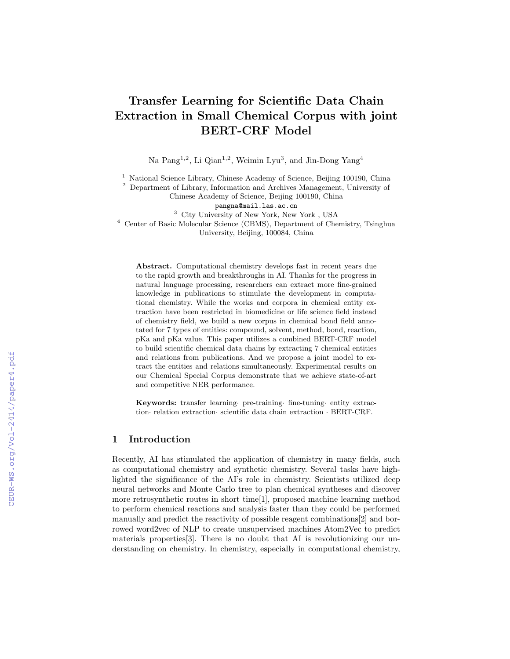# Transfer Learning for Scientific Data Chain Extraction in Small Chemical Corpus with joint BERT-CRF Model

Na Pang<sup>1,2</sup>, Li Qian<sup>1,2</sup>, Weimin Lyu<sup>3</sup>, and Jin-Dong Yang<sup>4</sup>

<sup>1</sup> National Science Library, Chinese Academy of Science, Beijing 100190, China

<sup>2</sup> Department of Library, Information and Archives Management, University of

Chinese Academy of Science, Beijing 100190, China

pangna@mail.las.ac.cn

<sup>3</sup> City University of New York, New York , USA

<sup>4</sup> Center of Basic Molecular Science (CBMS), Department of Chemistry, Tsinghua University, Beijing, 100084, China

Abstract. Computational chemistry develops fast in recent years due to the rapid growth and breakthroughs in AI. Thanks for the progress in natural language processing, researchers can extract more fine-grained knowledge in publications to stimulate the development in computational chemistry. While the works and corpora in chemical entity extraction have been restricted in biomedicine or life science field instead of chemistry field, we build a new corpus in chemical bond field annotated for 7 types of entities: compound, solvent, method, bond, reaction, pKa and pKa value. This paper utilizes a combined BERT-CRF model to build scientific chemical data chains by extracting 7 chemical entities and relations from publications. And we propose a joint model to extract the entities and relations simultaneously. Experimental results on our Chemical Special Corpus demonstrate that we achieve state-of-art and competitive NER performance.

Keywords: transfer learning· pre-training· fine-tuning· entity extraction· relation extraction· scientific data chain extraction · BERT-CRF.

# 1 Introduction

Recently, AI has stimulated the application of chemistry in many fields, such as computational chemistry and synthetic chemistry. Several tasks have highlighted the significance of the AI's role in chemistry. Scientists utilized deep neural networks and Monte Carlo tree to plan chemical syntheses and discover more retrosynthetic routes in short time[1], proposed machine learning method to perform chemical reactions and analysis faster than they could be performed manually and predict the reactivity of possible reagent combinations[2] and borrowed word2vec of NLP to create unsupervised machines Atom2Vec to predict materials properties[3]. There is no doubt that AI is revolutionizing our understanding on chemistry. In chemistry, especially in computational chemistry,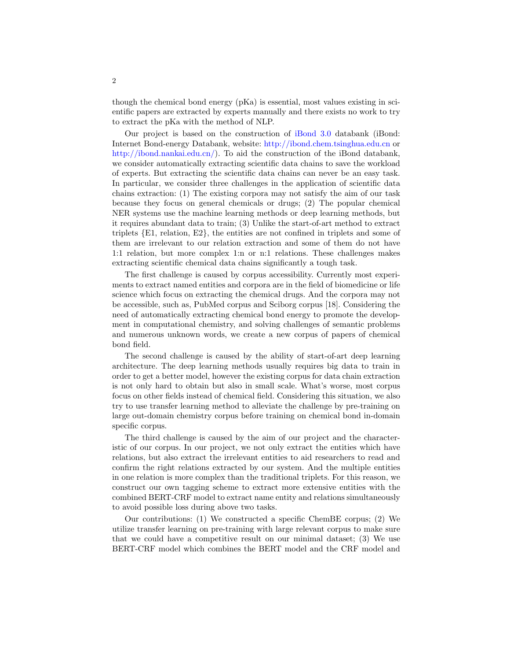though the chemical bond energy (pKa) is essential, most values existing in scientific papers are extracted by experts manually and there exists no work to try to extract the pKa with the method of NLP.

Our project is based on the construction of iBond 3.0 databank (iBond: Internet Bond-energy Databank, website: http://ibond.chem.tsinghua.edu.cn or http://ibond.nankai.edu.cn/). To aid the construction of the iBond databank, we consider automatically extracting scientific data chains to save the workload of experts. But extracting the scientific data chains can never be an easy task. In particular, we consider three challenges in the application of scientific data chains extraction: (1) The existing corpora may not satisfy the aim of our task because they focus on general chemicals or drugs; (2) The popular chemical NER systems use the machine learning methods or deep learning methods, but it requires abundant data to train; (3) Unlike the start-of-art method to extract triplets {E1, relation, E2}, the entities are not confined in triplets and some of them are irrelevant to our relation extraction and some of them do not have 1:1 relation, but more complex 1:n or n:1 relations. These challenges makes extracting scientific chemical data chains significantly a tough task.

The first challenge is caused by corpus accessibility. Currently most experiments to extract named entities and corpora are in the field of biomedicine or life science which focus on extracting the chemical drugs. And the corpora may not be accessible, such as, PubMed corpus and Sciborg corpus [18]. Considering the need of automatically extracting chemical bond energy to promote the development in computational chemistry, and solving challenges of semantic problems and numerous unknown words, we create a new corpus of papers of chemical bond field.

The second challenge is caused by the ability of start-of-art deep learning architecture. The deep learning methods usually requires big data to train in order to get a better model, however the existing corpus for data chain extraction is not only hard to obtain but also in small scale. What's worse, most corpus focus on other fields instead of chemical field. Considering this situation, we also try to use transfer learning method to alleviate the challenge by pre-training on large out-domain chemistry corpus before training on chemical bond in-domain specific corpus.

The third challenge is caused by the aim of our project and the characteristic of our corpus. In our project, we not only extract the entities which have relations, but also extract the irrelevant entities to aid researchers to read and confirm the right relations extracted by our system. And the multiple entities in one relation is more complex than the traditional triplets. For this reason, we construct our own tagging scheme to extract more extensive entities with the combined BERT-CRF model to extract name entity and relations simultaneously to avoid possible loss during above two tasks.

Our contributions: (1) We constructed a specific ChemBE corpus; (2) We utilize transfer learning on pre-training with large relevant corpus to make sure that we could have a competitive result on our minimal dataset; (3) We use BERT-CRF model which combines the BERT model and the CRF model and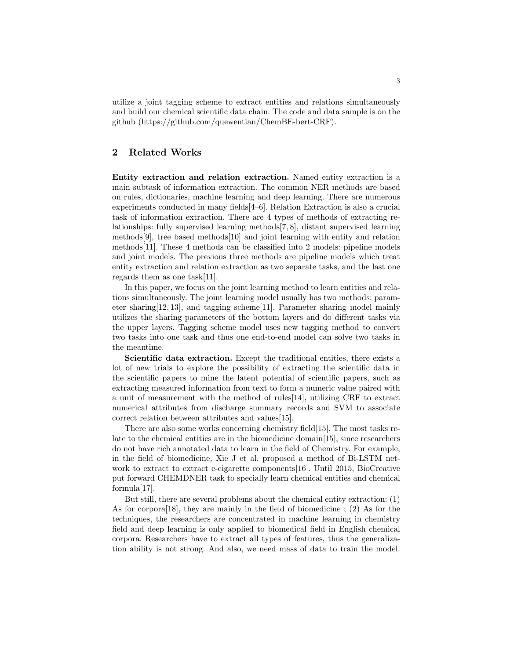utilize a joint tagging scheme to extract entities and relations simultaneously and build our chemical scientific data chain. The code and data sample is on the github (https://github.com/quewentian/ChemBE-bert-CRF).

# 2 Related Works

Entity extraction and relation extraction. Named entity extraction is a main subtask of information extraction. The common NER methods are based on rules, dictionaries, machine learning and deep learning. There are numerous experiments conducted in many fields[4–6]. Relation Extraction is also a crucial task of information extraction. There are 4 types of methods of extracting relationships: fully supervised learning methods[7, 8], distant supervised learning methods[9], tree based methods[10] and joint learning with entity and relation methods[11]. These 4 methods can be classified into 2 models: pipeline models and joint models. The previous three methods are pipeline models which treat entity extraction and relation extraction as two separate tasks, and the last one regards them as one task[11].

In this paper, we focus on the joint learning method to learn entities and relations simultaneously. The joint learning model usually has two methods: parameter sharing[12, 13], and tagging scheme[11]. Parameter sharing model mainly utilizes the sharing parameters of the bottom layers and do different tasks via the upper layers. Tagging scheme model uses new tagging method to convert two tasks into one task and thus one end-to-end model can solve two tasks in the meantime.

Scientific data extraction. Except the traditional entities, there exists a lot of new trials to explore the possibility of extracting the scientific data in the scientific papers to mine the latent potential of scientific papers, such as extracting measured information from text to form a numeric value paired with a unit of measurement with the method of rules[14], utilizing CRF to extract numerical attributes from discharge summary records and SVM to associate correct relation between attributes and values[15].

There are also some works concerning chemistry field[15]. The most tasks relate to the chemical entities are in the biomedicine domain[15], since researchers do not have rich annotated data to learn in the field of Chemistry. For example, in the field of biomedicine, Xie J et al. proposed a method of Bi-LSTM network to extract to extract e-cigarette components[16]. Until 2015, BioCreative put forward CHEMDNER task to specially learn chemical entities and chemical formula[17].

But still, there are several problems about the chemical entity extraction: (1) As for corpora[18], they are mainly in the field of biomedicine ; (2) As for the techniques, the researchers are concentrated in machine learning in chemistry field and deep learning is only applied to biomedical field in English chemical corpora. Researchers have to extract all types of features, thus the generalization ability is not strong. And also, we need mass of data to train the model.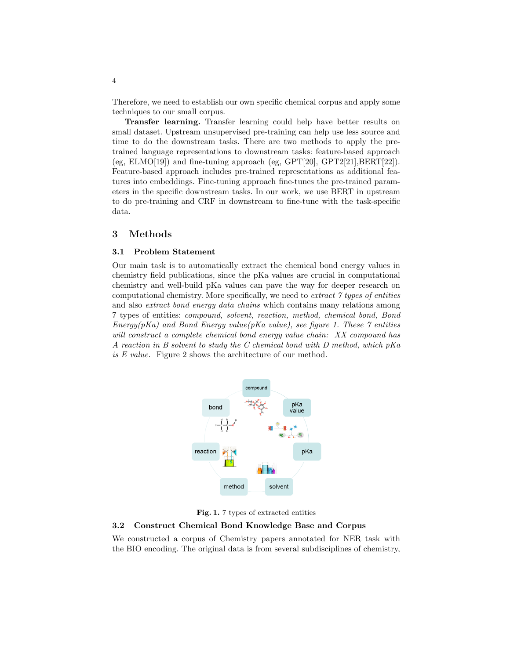Therefore, we need to establish our own specific chemical corpus and apply some techniques to our small corpus.

Transfer learning. Transfer learning could help have better results on small dataset. Upstream unsupervised pre-training can help use less source and time to do the downstream tasks. There are two methods to apply the pretrained language representations to downstream tasks: feature-based approach (eg, ELMO[19]) and fine-tuning approach (eg, GPT[20], GPT2[21], BERT[22]). Feature-based approach includes pre-trained representations as additional features into embeddings. Fine-tuning approach fine-tunes the pre-trained parameters in the specific downstream tasks. In our work, we use BERT in upstream to do pre-training and CRF in downstream to fine-tune with the task-specific data.

### 3 Methods

#### 3.1 Problem Statement

Our main task is to automatically extract the chemical bond energy values in chemistry field publications, since the pKa values are crucial in computational chemistry and well-build pKa values can pave the way for deeper research on computational chemistry. More specifically, we need to extract 7 types of entities and also extract bond energy data chains which contains many relations among 7 types of entities: compound, solvent, reaction, method, chemical bond, Bond Energy(pKa) and Bond Energy value(pKa value), see figure 1. These  $\gamma$  entities will construct a complete chemical bond energy value chain: XX compound has A reaction in B solvent to study the C chemical bond with D method, which  $pKa$ is E value. Figure 2 shows the architecture of our method.



Fig. 1. 7 types of extracted entities

# 3.2 Construct Chemical Bond Knowledge Base and Corpus

We constructed a corpus of Chemistry papers annotated for NER task with the BIO encoding. The original data is from several subdisciplines of chemistry,

4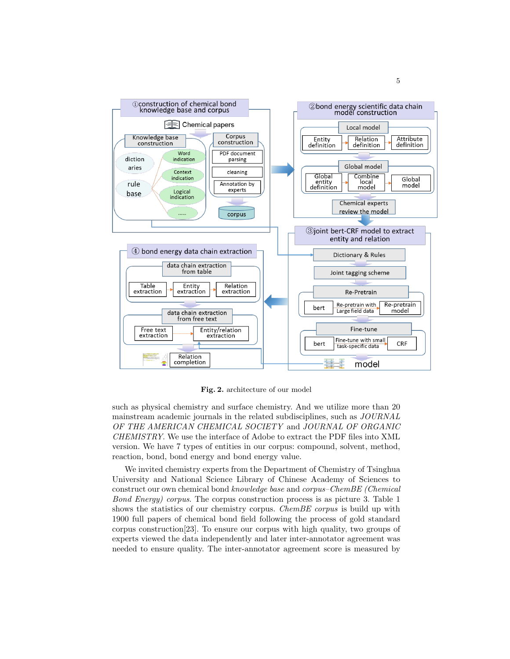

Fig. 2. architecture of our model

such as physical chemistry and surface chemistry. And we utilize more than 20 mainstream academic journals in the related subdisciplines, such as JOURNAL OF THE AMERICAN CHEMICAL SOCIETY and JOURNAL OF ORGANIC CHEMISTRY. We use the interface of Adobe to extract the PDF files into XML version. We have 7 types of entities in our corpus: compound, solvent, method, reaction, bond, bond energy and bond energy value.

We invited chemistry experts from the Department of Chemistry of Tsinghua University and National Science Library of Chinese Academy of Sciences to construct our own chemical bond knowledge base and corpus–ChemBE (Chemical Bond Energy) corpus. The corpus construction process is as picture 3. Table 1 shows the statistics of our chemistry corpus. *ChemBE corpus* is build up with 1900 full papers of chemical bond field following the process of gold standard corpus construction[23]. To ensure our corpus with high quality, two groups of experts viewed the data independently and later inter-annotator agreement was needed to ensure quality. The inter-annotator agreement score is measured by

5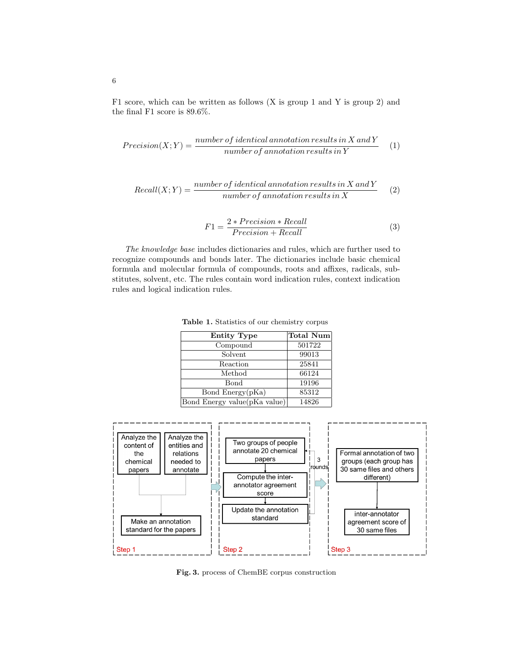F1 score, which can be written as follows (X is group 1 and Y is group 2) and the final F1 score is 89.6%.

$$
Precision(X;Y) = \frac{number\ of\ identical\ annotation\ results\ in\ X\ and\ Y}{number\ of\ annotation\ results\ in\ Y} \tag{1}
$$

Recall(X;Y) = 
$$
\frac{number\ of\ identical\ annotation\ results\ in\ X\ and\ Y}{number\ of\ annotation\ results\ in\ X}
$$
 (2)

$$
F1 = \frac{2 * Precision * Recall}{Precision + Recall}
$$
 (3)

The knowledge base includes dictionaries and rules, which are further used to recognize compounds and bonds later. The dictionaries include basic chemical formula and molecular formula of compounds, roots and affixes, radicals, substitutes, solvent, etc. The rules contain word indication rules, context indication rules and logical indication rules.

| <b>Entity Type</b>           | Total Num |
|------------------------------|-----------|
| Compound                     | 501722    |
| Solvent                      | 99013     |
| Reaction                     | 25841     |
| Method                       | 66124     |
| Bond                         | 19196     |
| Bond Energy(pKa)             | 85312     |
| Bond Energy value(pKa value) | 14826     |

Table 1. Statistics of our chemistry corpus



Fig. 3. process of ChemBE corpus construction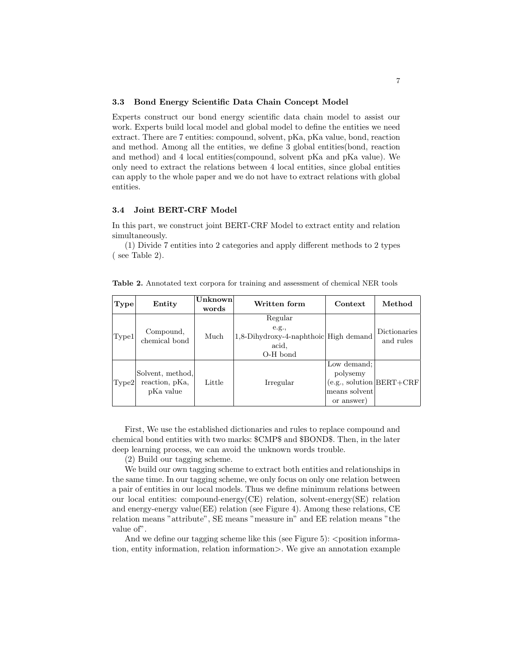#### 3.3 Bond Energy Scientific Data Chain Concept Model

Experts construct our bond energy scientific data chain model to assist our work. Experts build local model and global model to define the entities we need extract. There are 7 entities: compound, solvent, pKa, pKa value, bond, reaction and method. Among all the entities, we define 3 global entities(bond, reaction and method) and 4 local entities(compound, solvent pKa and pKa value). We only need to extract the relations between 4 local entities, since global entities can apply to the whole paper and we do not have to extract relations with global entities.

#### 3.4 Joint BERT-CRF Model

In this part, we construct joint BERT-CRF Model to extract entity and relation simultaneously.

(1) Divide 7 entities into 2 categories and apply different methods to 2 types ( see Table 2).

| <b>Type</b> | Entity                                          | Unknown<br>words | Written form                                                                   | Context                                                                                   | Method                    |
|-------------|-------------------------------------------------|------------------|--------------------------------------------------------------------------------|-------------------------------------------------------------------------------------------|---------------------------|
| Type1       | Compound,<br>chemical bond                      | Much             | Regular<br>e.g.,<br>1,8-Dihydroxy-4-naphthoic High demand<br>acid.<br>O-H bond |                                                                                           | Dictionaries<br>and rules |
| Type2       | Solvent, method,<br>reaction, pKa,<br>pKa value | Little           | Irregular                                                                      | Low demand:<br>polysemy<br>$(e.g.,$ solution $ BERT + CRF $<br>means solvent<br>or answer |                           |

Table 2. Annotated text corpora for training and assessment of chemical NER tools

First, We use the established dictionaries and rules to replace compound and chemical bond entities with two marks: \$CMP\$ and \$BOND\$. Then, in the later deep learning process, we can avoid the unknown words trouble.

(2) Build our tagging scheme.

We build our own tagging scheme to extract both entities and relationships in the same time. In our tagging scheme, we only focus on only one relation between a pair of entities in our local models. Thus we define minimum relations between our local entities: compound-energy(CE) relation, solvent-energy(SE) relation and energy-energy value(EE) relation (see Figure 4). Among these relations, CE relation means "attribute", SE means "measure in" and EE relation means "the value of.

And we define our tagging scheme like this (see Figure 5):  $\leq$  position information, entity information, relation information>. We give an annotation example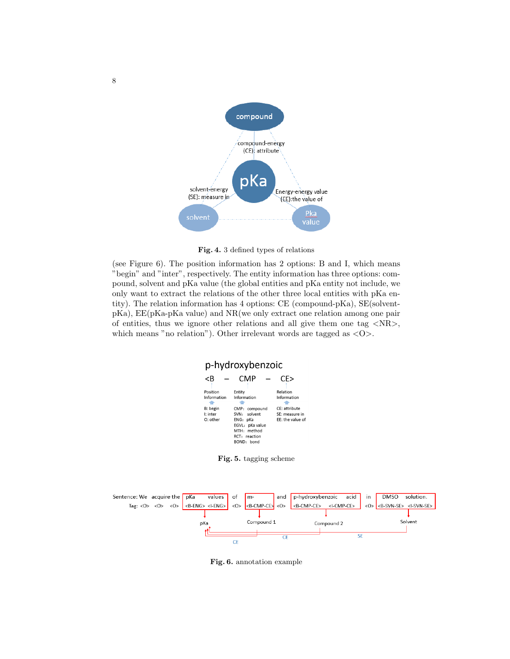

Fig. 4. 3 defined types of relations

(see Figure 6). The position information has 2 options: B and I, which means "begin" and "inter", respectively. The entity information has three options: compound, solvent and pKa value (the global entities and pKa entity not include, we only want to extract the relations of the other three local entities with pKa entity). The relation information has 4 options: CE (compound-pKa), SE(solventpKa), EE(pKa-pKa value) and NR(we only extract one relation among one pair of entities, thus we ignore other relations and all give them one tag  $\langle NR \rangle$ , which means "no relation"). Other irrelevant words are tagged as  $\langle \text{O} \rangle$ .

# p-hydroxybenzoic

|             | CMP             | CF>              |
|-------------|-----------------|------------------|
| Position    |                 | Relation         |
|             | Entity          |                  |
| Information | Information     | Information      |
|             |                 |                  |
| B: begin    | CMP: compound   | CE: attribute    |
| I: inter    | SVN: solvent    | SE: measure in   |
| $O:$ other  | ENG: pKa        | FF: the value of |
|             | EGVL: pKa value |                  |
|             | MTH · method    |                  |
|             | RCT: reaction   |                  |
|             | BOND: bond      |                  |

Fig. 5. tagging scheme



Fig. 6. annotation example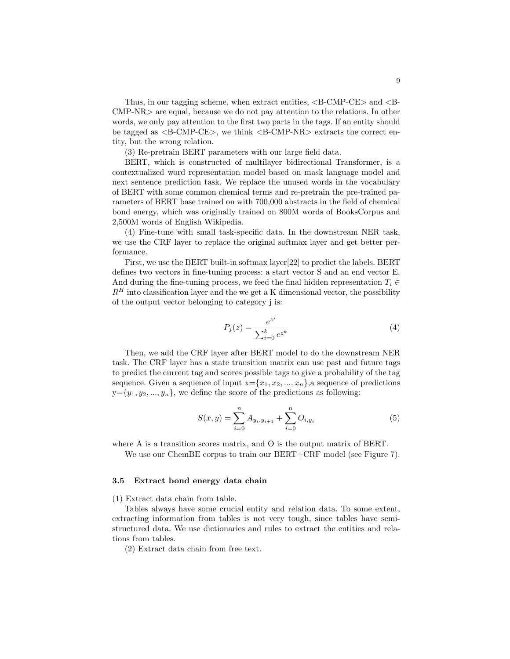Thus, in our tagging scheme, when extract entities,  $\langle B\text{-}\text{CMP-CE}\rangle$  and  $\langle B\text{-}$ CMP-NR> are equal, because we do not pay attention to the relations. In other words, we only pay attention to the first two parts in the tags. If an entity should be tagged as <B-CMP-CE>, we think <B-CMP-NR> extracts the correct entity, but the wrong relation.

(3) Re-pretrain BERT parameters with our large field data.

BERT, which is constructed of multilayer bidirectional Transformer, is a contextualized word representation model based on mask language model and next sentence prediction task. We replace the unused words in the vocabulary of BERT with some common chemical terms and re-pretrain the pre-trained parameters of BERT base trained on with 700,000 abstracts in the field of chemical bond energy, which was originally trained on 800M words of BooksCorpus and 2,500M words of English Wikipedia.

(4) Fine-tune with small task-specific data. In the downstream NER task, we use the CRF layer to replace the original softmax layer and get better performance.

First, we use the BERT built-in softmax layer[22] to predict the labels. BERT defines two vectors in fine-tuning process: a start vector S and an end vector E. And during the fine-tuning process, we feed the final hidden representation  $T_i \in$  $R<sup>H</sup>$  into classification layer and the we get a K dimensional vector, the possibility of the output vector belonging to category j is:

$$
P_j(z) = \frac{e^{z^j}}{\sum_{i=0}^k e^{z^k}}
$$
 (4)

Then, we add the CRF layer after BERT model to do the downstream NER task. The CRF layer has a state transition matrix can use past and future tags to predict the current tag and scores possible tags to give a probability of the tag sequence. Given a sequence of input  $x = \{x_1, x_2, ..., x_n\}$ , a sequence of predictions  $y = \{y_1, y_2, ..., y_n\}$ , we define the score of the predictions as following:

$$
S(x,y) = \sum_{i=0}^{n} A_{y_i, y_{i+1}} + \sum_{i=0}^{n} O_{i, y_i}
$$
 (5)

where A is a transition scores matrix, and O is the output matrix of BERT.

We use our ChemBE corpus to train our BERT+CRF model (see Figure 7).

#### 3.5 Extract bond energy data chain

(1) Extract data chain from table.

Tables always have some crucial entity and relation data. To some extent, extracting information from tables is not very tough, since tables have semistructured data. We use dictionaries and rules to extract the entities and relations from tables.

(2) Extract data chain from free text.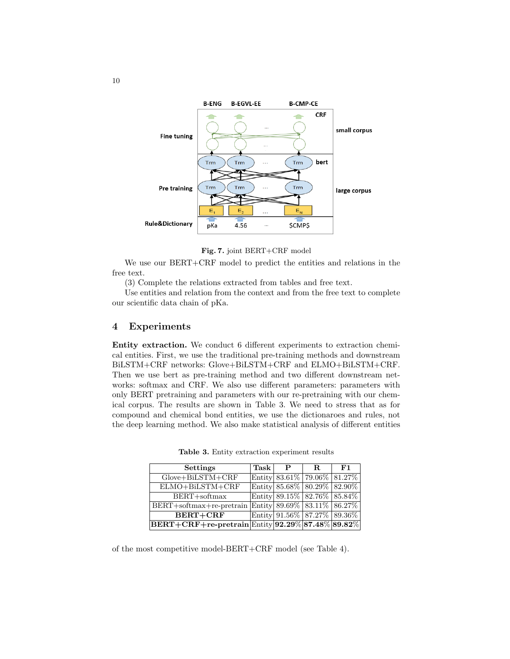

Fig. 7. joint BERT+CRF model

We use our BERT+CRF model to predict the entities and relations in the free text.

(3) Complete the relations extracted from tables and free text.

Use entities and relation from the context and from the free text to complete our scientific data chain of pKa.

# 4 Experiments

Entity extraction. We conduct 6 different experiments to extraction chemical entities. First, we use the traditional pre-training methods and downstream BiLSTM+CRF networks: Glove+BiLSTM+CRF and ELMO+BiLSTM+CRF. Then we use bert as pre-training method and two different downstream networks: softmax and CRF. We also use different parameters: parameters with only BERT pretraining and parameters with our re-pretraining with our chemical corpus. The results are shown in Table 3. We need to stress that as for compound and chemical bond entities, we use the dictionaroes and rules, not the deep learning method. We also make statistical analysis of different entities

| <b>Settings</b>                                                                        | Task | $\mathbf{P}$                | R. | F1 |
|----------------------------------------------------------------------------------------|------|-----------------------------|----|----|
| $Glove + BiLSTM + CRF$                                                                 |      | Entity 83.61% 79.06% 81.27% |    |    |
| $\overline{\text{ELMO} + \text{BiLSTM} + \text{CRF}}$                                  |      | Entity 85.68% 80.29% 82.90% |    |    |
| BERT+softmax                                                                           |      | Entity 89.15% 82.76% 85.84% |    |    |
| BERT+softmax+re-pretrain Entity $89.69\%$ $83.11\%$ $86.27\%$                          |      |                             |    |    |
| <b>BERT+CRF</b>                                                                        |      | Entity 91.56% 87.27% 89.36% |    |    |
| $\overline{\text{BERT} + \text{CRF} + \text{re-pretrain}}$ Entity 92.29% 87.48% 89.82% |      |                             |    |    |

Table 3. Entity extraction experiment results

of the most competitive model-BERT+CRF model (see Table 4).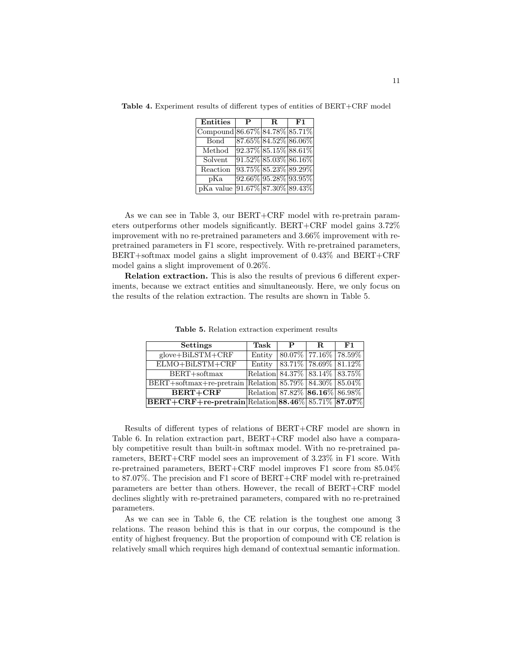| <b>Entities</b>               | P | R. | F1                      |
|-------------------------------|---|----|-------------------------|
| Compound 86.67% 84.78% 85.71% |   |    |                         |
| <b>Bond</b>                   |   |    | 87.65% 84.52% 86.06%    |
| Method                        |   |    | $92.37\%$ 85.15% 88.61% |
| Solvent                       |   |    | $91.52\%$ 85.03% 86.16% |
| Reaction                      |   |    | 93.75% 85.23% 89.29%    |
| pKa                           |   |    | 92.66% 95.28% 93.95%    |
| pKa value                     |   |    | $91.67\%$ 87.30% 89.43% |

Table 4. Experiment results of different types of entities of BERT+CRF model

As we can see in Table 3, our BERT+CRF model with re-pretrain parameters outperforms other models significantly. BERT+CRF model gains 3.72% improvement with no re-pretrained parameters and 3.66% improvement with repretrained parameters in F1 score, respectively. With re-pretrained parameters, BERT+softmax model gains a slight improvement of 0.43% and BERT+CRF model gains a slight improvement of 0.26%.

Relation extraction. This is also the results of previous 6 different experiments, because we extract entities and simultaneously. Here, we only focus on the results of the relation extraction. The results are shown in Table 5.

| <b>Settings</b>                                                                           | Task                                   | P                          | R. | F1 |
|-------------------------------------------------------------------------------------------|----------------------------------------|----------------------------|----|----|
| $glove + BiLSTM + CRF$                                                                    | Entity                                 | $80.07\%$ 77.16\% 78.59\%  |    |    |
| ELMO+BiLSTM+CRF                                                                           | Entity                                 | $ 83.71\% 78.69\% 81.12\%$ |    |    |
| $BERT + softmax$                                                                          | Relation $84.37\%$ $83.14\%$ $83.75\%$ |                            |    |    |
| BERT+softmax+re-pretrain Relation 85.79% 84.30% 85.04%                                    |                                        |                            |    |    |
| <b>BERT+CRF</b>                                                                           | Relation 87.82\% 86.16\% 86.98\%       |                            |    |    |
| $ \text{BERT}+\text{CRF}+\text{re-pretrain} \text{Relation} 88.46\% \,85.71\%\, 87.07\% $ |                                        |                            |    |    |

Table 5. Relation extraction experiment results

Results of different types of relations of BERT+CRF model are shown in Table 6. In relation extraction part, BERT+CRF model also have a comparably competitive result than built-in softmax model. With no re-pretrained parameters, BERT+CRF model sees an improvement of 3.23% in F1 score. With re-pretrained parameters, BERT+CRF model improves F1 score from 85.04% to 87.07%. The precision and F1 score of BERT+CRF model with re-pretrained parameters are better than others. However, the recall of BERT+CRF model declines slightly with re-pretrained parameters, compared with no re-pretrained parameters.

As we can see in Table 6, the CE relation is the toughest one among 3 relations. The reason behind this is that in our corpus, the compound is the entity of highest frequency. But the proportion of compound with CE relation is relatively small which requires high demand of contextual semantic information.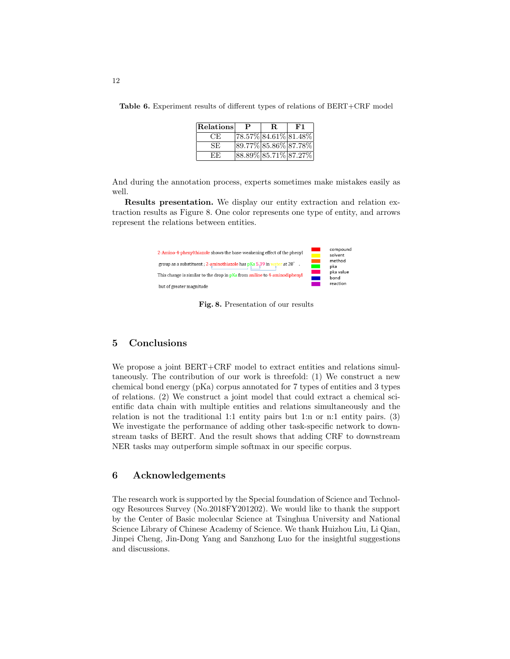Table 6. Experiment results of different types of relations of BERT+CRF model

| Relations | P | R. | F1                          |
|-----------|---|----|-----------------------------|
| CE        |   |    | $ 78.57\% 84.61\% 81.48\% $ |
| SE.       |   |    | $89.77\%$ 85.86% 87.78%     |
| EE.       |   |    | $ 88.89\% 85.71\% 87.27\% $ |

And during the annotation process, experts sometimes make mistakes easily as well.

Results presentation. We display our entity extraction and relation extraction results as Figure 8. One color represents one type of entity, and arrows represent the relations between entities.



Fig. 8. Presentation of our results

# 5 Conclusions

We propose a joint BERT+CRF model to extract entities and relations simultaneously. The contribution of our work is threefold: (1) We construct a new chemical bond energy (pKa) corpus annotated for 7 types of entities and 3 types of relations. (2) We construct a joint model that could extract a chemical scientific data chain with multiple entities and relations simultaneously and the relation is not the traditional 1:1 entity pairs but 1:n or n:1 entity pairs. (3) We investigate the performance of adding other task-specific network to downstream tasks of BERT. And the result shows that adding CRF to downstream NER tasks may outperform simple softmax in our specific corpus.

# 6 Acknowledgements

The research work is supported by the Special foundation of Science and Technology Resources Survey (No.2018FY201202). We would like to thank the support by the Center of Basic molecular Science at Tsinghua University and National Science Library of Chinese Academy of Science. We thank Huizhou Liu, Li Qian, Jinpei Cheng, Jin-Dong Yang and Sanzhong Luo for the insightful suggestions and discussions.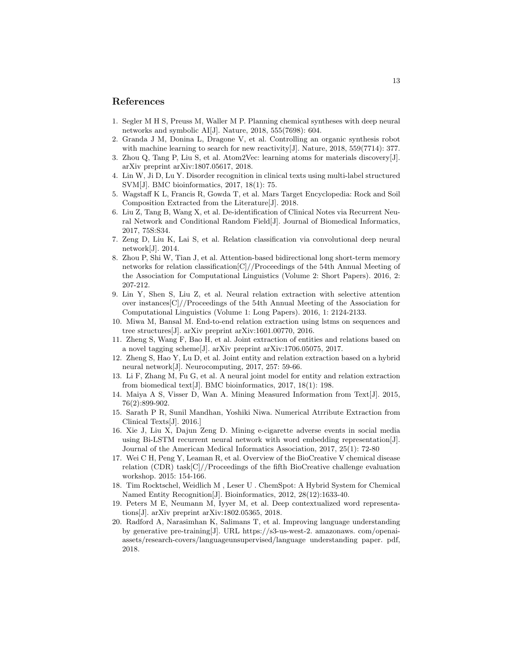## References

- 1. Segler M H S, Preuss M, Waller M P. Planning chemical syntheses with deep neural networks and symbolic AI[J]. Nature, 2018, 555(7698): 604.
- 2. Granda J M, Donina L, Dragone V, et al. Controlling an organic synthesis robot with machine learning to search for new reactivity [J]. Nature, 2018, 559(7714): 377.
- 3. Zhou Q, Tang P, Liu S, et al. Atom2Vec: learning atoms for materials discovery[J]. arXiv preprint arXiv:1807.05617, 2018.
- 4. Lin W, Ji D, Lu Y. Disorder recognition in clinical texts using multi-label structured SVM[J]. BMC bioinformatics, 2017, 18(1): 75.
- 5. Wagstaff K L, Francis R, Gowda T, et al. Mars Target Encyclopedia: Rock and Soil Composition Extracted from the Literature[J]. 2018.
- 6. Liu Z, Tang B, Wang X, et al. De-identification of Clinical Notes via Recurrent Neural Network and Conditional Random Field[J]. Journal of Biomedical Informatics, 2017, 75S:S34.
- 7. Zeng D, Liu K, Lai S, et al. Relation classification via convolutional deep neural network[J]. 2014.
- 8. Zhou P, Shi W, Tian J, et al. Attention-based bidirectional long short-term memory networks for relation classification[C]//Proceedings of the 54th Annual Meeting of the Association for Computational Linguistics (Volume 2: Short Papers). 2016, 2: 207-212.
- 9. Lin Y, Shen S, Liu Z, et al. Neural relation extraction with selective attention over instances[C]//Proceedings of the 54th Annual Meeting of the Association for Computational Linguistics (Volume 1: Long Papers). 2016, 1: 2124-2133.
- 10. Miwa M, Bansal M. End-to-end relation extraction using lstms on sequences and tree structures[J]. arXiv preprint arXiv:1601.00770, 2016.
- 11. Zheng S, Wang F, Bao H, et al. Joint extraction of entities and relations based on a novel tagging scheme[J]. arXiv preprint arXiv:1706.05075, 2017.
- 12. Zheng S, Hao Y, Lu D, et al. Joint entity and relation extraction based on a hybrid neural network[J]. Neurocomputing, 2017, 257: 59-66.
- 13. Li F, Zhang M, Fu G, et al. A neural joint model for entity and relation extraction from biomedical text[J]. BMC bioinformatics, 2017, 18(1): 198.
- 14. Maiya A S, Visser D, Wan A. Mining Measured Information from Text[J]. 2015, 76(2):899-902.
- 15. Sarath P R, Sunil Mandhan, Yoshiki Niwa. Numerical Atrribute Extraction from Clinical Texts[J]. 2016.]
- 16. Xie J, Liu X, Dajun Zeng D. Mining e-cigarette adverse events in social media using Bi-LSTM recurrent neural network with word embedding representation[J]. Journal of the American Medical Informatics Association, 2017, 25(1): 72-80
- 17. Wei C H, Peng Y, Leaman R, et al. Overview of the BioCreative V chemical disease relation (CDR) task $\left[\frac{C}{r}\right]$  receedings of the fifth BioCreative challenge evaluation workshop. 2015: 154-166.
- 18. Tim Rocktschel, Weidlich M , Leser U . ChemSpot: A Hybrid System for Chemical Named Entity Recognition[J]. Bioinformatics, 2012, 28(12):1633-40.
- 19. Peters M E, Neumann M, Iyyer M, et al. Deep contextualized word representations[J]. arXiv preprint arXiv:1802.05365, 2018.
- 20. Radford A, Narasimhan K, Salimans T, et al. Improving language understanding by generative pre-training[J]. URL https://s3-us-west-2. amazonaws. com/openaiassets/research-covers/languageunsupervised/language understanding paper. pdf, 2018.